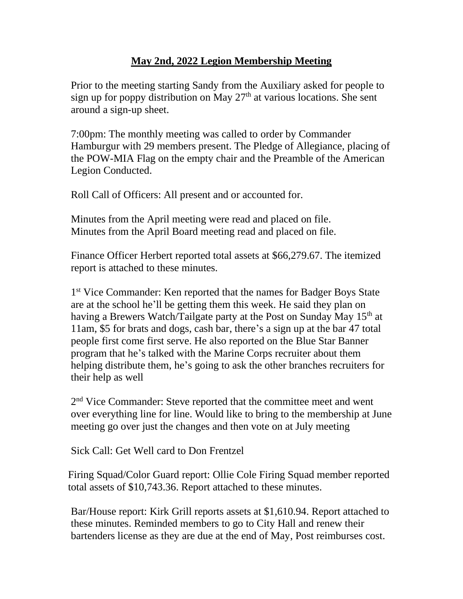## **May 2nd, 2022 Legion Membership Meeting**

Prior to the meeting starting Sandy from the Auxiliary asked for people to sign up for poppy distribution on May  $27<sup>th</sup>$  at various locations. She sent around a sign-up sheet.

7:00pm: The monthly meeting was called to order by Commander Hamburgur with 29 members present. The Pledge of Allegiance, placing of the POW-MIA Flag on the empty chair and the Preamble of the American Legion Conducted.

Roll Call of Officers: All present and or accounted for.

Minutes from the April meeting were read and placed on file. Minutes from the April Board meeting read and placed on file.

Finance Officer Herbert reported total assets at \$66,279.67. The itemized report is attached to these minutes.

1<sup>st</sup> Vice Commander: Ken reported that the names for Badger Boys State are at the school he'll be getting them this week. He said they plan on having a Brewers Watch/Tailgate party at the Post on Sunday May 15<sup>th</sup> at 11am, \$5 for brats and dogs, cash bar, there's a sign up at the bar 47 total people first come first serve. He also reported on the Blue Star Banner program that he's talked with the Marine Corps recruiter about them helping distribute them, he's going to ask the other branches recruiters for their help as well

2<sup>nd</sup> Vice Commander: Steve reported that the committee meet and went over everything line for line. Would like to bring to the membership at June meeting go over just the changes and then vote on at July meeting

Sick Call: Get Well card to Don Frentzel

Firing Squad/Color Guard report: Ollie Cole Firing Squad member reported total assets of \$10,743.36. Report attached to these minutes.

Bar/House report: Kirk Grill reports assets at \$1,610.94. Report attached to these minutes. Reminded members to go to City Hall and renew their bartenders license as they are due at the end of May, Post reimburses cost.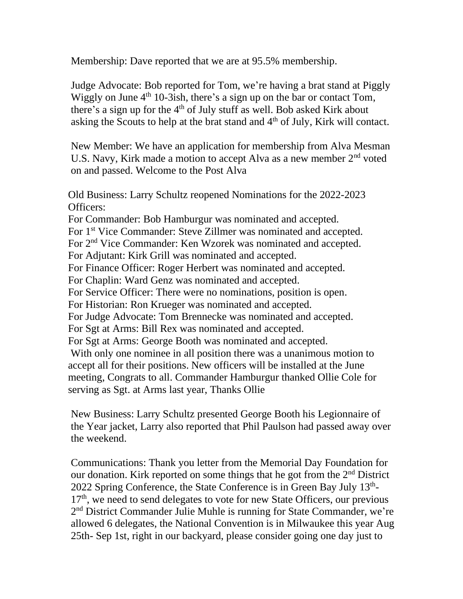Membership: Dave reported that we are at 95.5% membership.

Judge Advocate: Bob reported for Tom, we're having a brat stand at Piggly Wiggly on June  $4<sup>th</sup> 10-3ish$ , there's a sign up on the bar or contact Tom, there's a sign up for the  $4<sup>th</sup>$  of July stuff as well. Bob asked Kirk about asking the Scouts to help at the brat stand and  $4<sup>th</sup>$  of July, Kirk will contact.

New Member: We have an application for membership from Alva Mesman U.S. Navy, Kirk made a motion to accept Alva as a new member 2nd voted on and passed. Welcome to the Post Alva

Old Business: Larry Schultz reopened Nominations for the 2022-2023 Officers:

For Commander: Bob Hamburgur was nominated and accepted.

For 1<sup>st</sup> Vice Commander: Steve Zillmer was nominated and accepted.

For 2nd Vice Commander: Ken Wzorek was nominated and accepted.

For Adjutant: Kirk Grill was nominated and accepted.

For Finance Officer: Roger Herbert was nominated and accepted.

For Chaplin: Ward Genz was nominated and accepted.

For Service Officer: There were no nominations, position is open.

For Historian: Ron Krueger was nominated and accepted.

For Judge Advocate: Tom Brennecke was nominated and accepted.

For Sgt at Arms: Bill Rex was nominated and accepted.

For Sgt at Arms: George Booth was nominated and accepted.

With only one nominee in all position there was a unanimous motion to accept all for their positions. New officers will be installed at the June meeting, Congrats to all. Commander Hamburgur thanked Ollie Cole for serving as Sgt. at Arms last year, Thanks Ollie

New Business: Larry Schultz presented George Booth his Legionnaire of the Year jacket, Larry also reported that Phil Paulson had passed away over the weekend.

Communications: Thank you letter from the Memorial Day Foundation for our donation. Kirk reported on some things that he got from the  $2<sup>nd</sup>$  District 2022 Spring Conference, the State Conference is in Green Bay July 13<sup>th</sup>- $17<sup>th</sup>$ , we need to send delegates to vote for new State Officers, our previous 2<sup>nd</sup> District Commander Julie Muhle is running for State Commander, we're allowed 6 delegates, the National Convention is in Milwaukee this year Aug 25th- Sep 1st, right in our backyard, please consider going one day just to